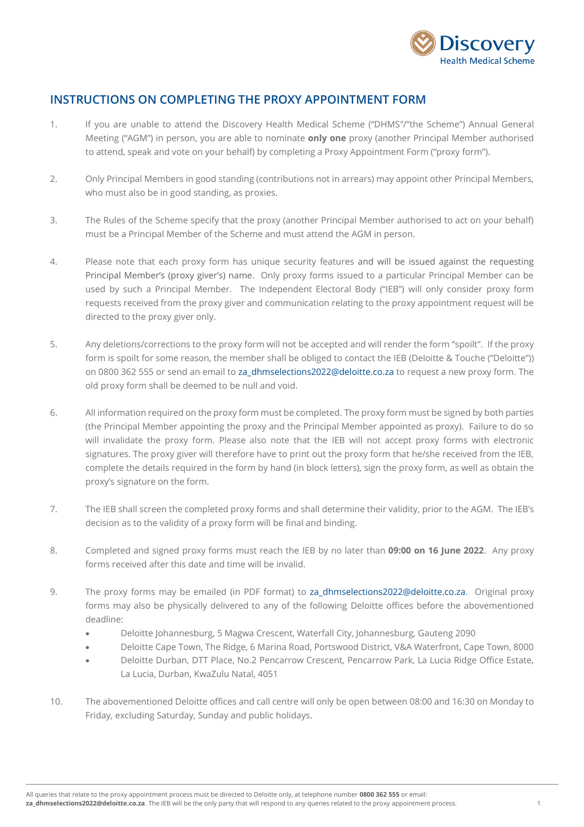

## **INSTRUCTIONS ON COMPLETING THE PROXY APPOINTMENT FORM**

- 1. If you are unable to attend the Discovery Health Medical Scheme ("DHMS"/"the Scheme") Annual General Meeting ("AGM") in person, you are able to nominate **only one** proxy (another Principal Member authorised to attend, speak and vote on your behalf) by completing a Proxy Appointment Form ("proxy form").
- 2. Only Principal Members in good standing (contributions not in arrears) may appoint other Principal Members, who must also be in good standing, as proxies.
- 3. The Rules of the Scheme specify that the proxy (another Principal Member authorised to act on your behalf) must be a Principal Member of the Scheme and must attend the AGM in person.
- 4. Please note that each proxy form has unique security features and will be issued against the requesting Principal Member's (proxy giver's) name. Only proxy forms issued to a particular Principal Member can be used by such a Principal Member. The Independent Electoral Body ("IEB") will only consider proxy form requests received from the proxy giver and communication relating to the proxy appointment request will be directed to the proxy giver only.
- 5. Any deletions/corrections to the proxy form will not be accepted and will render the form "spoilt". If the proxy form is spoilt for some reason, the member shall be obliged to contact the IEB (Deloitte & Touche ("Deloitte")) on 0800 362 555 or send an email to [za\\_dhmselections2022@deloitte.co.za](mailto:za_dhmselections2022@deloitte.co.za) to request a new proxy form. The old proxy form shall be deemed to be null and void.
- 6. All information required on the proxy form must be completed. The proxy form must be signed by both parties (the Principal Member appointing the proxy and the Principal Member appointed as proxy). Failure to do so will invalidate the proxy form. Please also note that the IEB will not accept proxy forms with electronic signatures. The proxy giver will therefore have to print out the proxy form that he/she received from the IEB, complete the details required in the form by hand (in block letters), sign the proxy form, as well as obtain the proxy's signature on the form.
- 7. The IEB shall screen the completed proxy forms and shall determine their validity, prior to the AGM. The IEB's decision as to the validity of a proxy form will be final and binding.
- 8. Completed and signed proxy forms must reach the IEB by no later than **09:00 on 16 June 2022**. Any proxy forms received after this date and time will be invalid.
- 9. The proxy forms may be emailed (in PDF format) to [za\\_dhmselections2022@deloitte.co.za.](mailto:za_dhmselections2022@deloitte.co.za) Original proxy forms may also be physically delivered to any of the following Deloitte offices before the abovementioned deadline:
	- Deloitte Johannesburg, 5 Magwa Crescent, Waterfall City, Johannesburg, Gauteng 2090
	- Deloitte Cape Town, The Ridge, 6 Marina Road, Portswood District, V&A Waterfront, Cape Town, 8000
	- Deloitte Durban, DTT Place, No.2 Pencarrow Crescent, Pencarrow Park, La Lucia Ridge Office Estate, La Lucia, Durban, KwaZulu Natal, 4051
- 10. The abovementioned Deloitte offices and call centre will only be open between 08:00 and 16:30 on Monday to Friday, excluding Saturday, Sunday and public holidays.